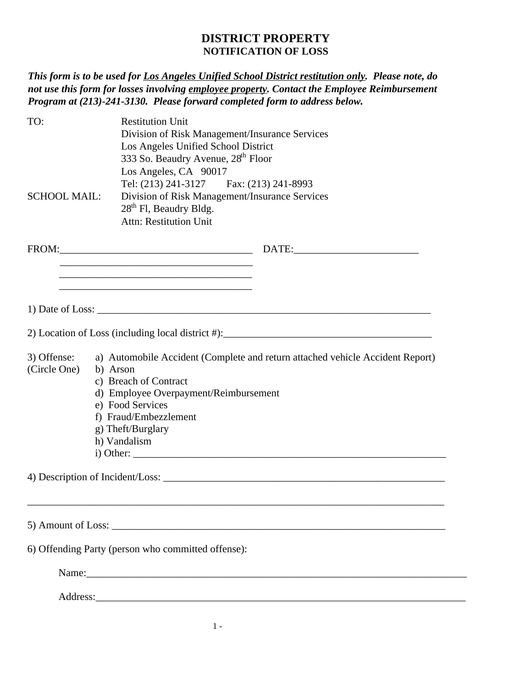## **DISTRICT PROPERTY NOTIFICATION OF LOSS**

*This form is to be used for Los Angeles Unified School District restitution only. Please note, do not use this form for losses involving employee property. Contact the Employee Reimbursement Program at (213)-241-3130. Please forward completed form to address below.* 

| TO:                         | <b>Restitution Unit</b><br>Division of Risk Management/Insurance Services<br>Los Angeles Unified School District<br>333 So. Beaudry Avenue, 28 <sup>th</sup> Floor<br>Los Angeles, CA 90017                                                   |  |  |
|-----------------------------|-----------------------------------------------------------------------------------------------------------------------------------------------------------------------------------------------------------------------------------------------|--|--|
| <b>SCHOOL MAIL:</b>         | Tel: (213) 241-3127 Fax: (213) 241-8993<br>Division of Risk Management/Insurance Services<br>28 <sup>th</sup> Fl, Beaudry Bldg.<br><b>Attn: Restitution Unit</b>                                                                              |  |  |
|                             |                                                                                                                                                                                                                                               |  |  |
|                             | <u> 1980 - Johann John Stein, mars an deus Amerikaansk kommunister (* 1950)</u>                                                                                                                                                               |  |  |
| 3) Offense:<br>(Circle One) | a) Automobile Accident (Complete and return attached vehicle Accident Report)<br>b) Arson<br>c) Breach of Contract<br>d) Employee Overpayment/Reimbursement<br>e) Food Services<br>f) Fraud/Embezzlement<br>g) Theft/Burglary<br>h) Vandalism |  |  |
|                             |                                                                                                                                                                                                                                               |  |  |
|                             |                                                                                                                                                                                                                                               |  |  |
|                             | 6) Offending Party (person who committed offense):                                                                                                                                                                                            |  |  |
|                             |                                                                                                                                                                                                                                               |  |  |
|                             | Address:                                                                                                                                                                                                                                      |  |  |